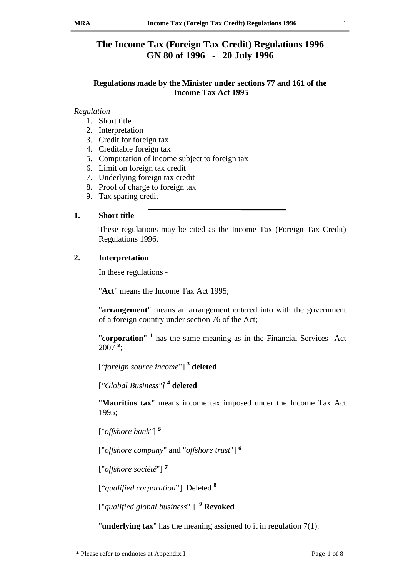# **The Income Tax (Foreign Tax Credit) Regulations 1996 GN 80 of 1996 - 20 July 1996**

## **Regulations made by the Minister under sections 77 and 161 of the Income Tax Act 1995**

#### *Regulation*

- 1. Short title
- 2. Interpretation
- 3. Credit for foreign tax
- 4. Creditable foreign tax
- 5. Computation of income subject to foreign tax
- 6. Limit on foreign tax credit
- 7. Underlying foreign tax credit
- 8. Proof of charge to foreign tax
- 9. Tax sparing credit

### **1. Short title**

These regulations may be cited as the Income Tax (Foreign Tax Credit) Regulations 1996.

## **2. Interpretation**

In these regulations -

"**Act**" means the Income Tax Act 1995;

"**arrangement**" means an arrangement entered into with the government of a foreign country under section 76 of the Act;

"**corporation**" **<sup>1</sup>** has the same meaning as in the Financial Services Act 2007 **<sup>2</sup>** ;

["*foreign source income*"] **3 deleted**

[*"Global Business"]* **4 deleted**

"**Mauritius tax**" means income tax imposed under the Income Tax Act 1995;

["*offshore bank*"] **<sup>5</sup>**

["*offshore company*" and "*offshore trust*"] **<sup>6</sup>**

["*offshore société*"] **<sup>7</sup>**

["*qualified corporation*"] Deleted **<sup>8</sup>**

["*qualified global business*" ] **<sup>9</sup> Revoked**

"**underlying tax**" has the meaning assigned to it in regulation 7(1).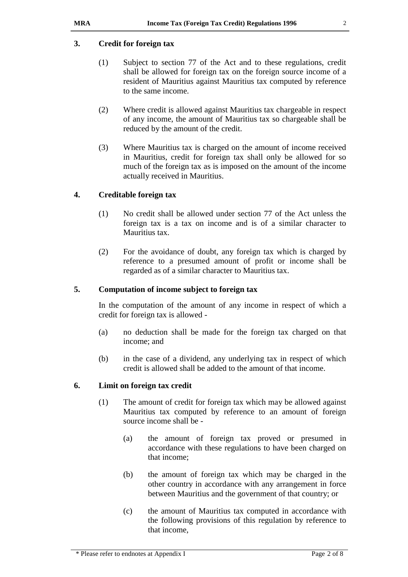### **3. Credit for foreign tax**

- (1) Subject to section 77 of the Act and to these regulations, credit shall be allowed for foreign tax on the foreign source income of a resident of Mauritius against Mauritius tax computed by reference to the same income.
- (2) Where credit is allowed against Mauritius tax chargeable in respect of any income, the amount of Mauritius tax so chargeable shall be reduced by the amount of the credit.
- (3) Where Mauritius tax is charged on the amount of income received in Mauritius, credit for foreign tax shall only be allowed for so much of the foreign tax as is imposed on the amount of the income actually received in Mauritius.

### **4. Creditable foreign tax**

- (1) No credit shall be allowed under section 77 of the Act unless the foreign tax is a tax on income and is of a similar character to Mauritius tax.
- (2) For the avoidance of doubt, any foreign tax which is charged by reference to a presumed amount of profit or income shall be regarded as of a similar character to Mauritius tax.

#### **5. Computation of income subject to foreign tax**

In the computation of the amount of any income in respect of which a credit for foreign tax is allowed -

- (a) no deduction shall be made for the foreign tax charged on that income; and
- (b) in the case of a dividend, any underlying tax in respect of which credit is allowed shall be added to the amount of that income.

#### **6. Limit on foreign tax credit**

- (1) The amount of credit for foreign tax which may be allowed against Mauritius tax computed by reference to an amount of foreign source income shall be -
	- (a) the amount of foreign tax proved or presumed in accordance with these regulations to have been charged on that income;
	- (b) the amount of foreign tax which may be charged in the other country in accordance with any arrangement in force between Mauritius and the government of that country; or
	- (c) the amount of Mauritius tax computed in accordance with the following provisions of this regulation by reference to that income,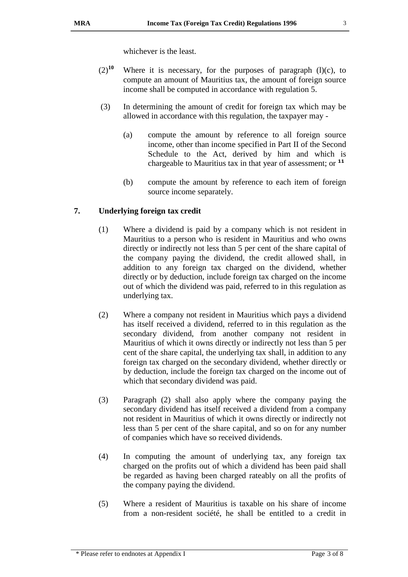whichever is the least.

- $(2)^{10}$  Where it is necessary, for the purposes of paragraph (l)(c), to compute an amount of Mauritius tax, the amount of foreign source income shall be computed in accordance with regulation 5.
- (3) In determining the amount of credit for foreign tax which may be allowed in accordance with this regulation, the taxpayer may -
	- (a) compute the amount by reference to all foreign source income, other than income specified in Part II of the Second Schedule to the Act, derived by him and which is chargeable to Mauritius tax in that year of assessment; or **<sup>11</sup>**
	- (b) compute the amount by reference to each item of foreign source income separately.

## **7. Underlying foreign tax credit**

- (1) Where a dividend is paid by a company which is not resident in Mauritius to a person who is resident in Mauritius and who owns directly or indirectly not less than 5 per cent of the share capital of the company paying the dividend, the credit allowed shall, in addition to any foreign tax charged on the dividend, whether directly or by deduction, include foreign tax charged on the income out of which the dividend was paid, referred to in this regulation as underlying tax.
- (2) Where a company not resident in Mauritius which pays a dividend has itself received a dividend, referred to in this regulation as the secondary dividend, from another company not resident in Mauritius of which it owns directly or indirectly not less than 5 per cent of the share capital, the underlying tax shall, in addition to any foreign tax charged on the secondary dividend, whether directly or by deduction, include the foreign tax charged on the income out of which that secondary dividend was paid.
- (3) Paragraph (2) shall also apply where the company paying the secondary dividend has itself received a dividend from a company not resident in Mauritius of which it owns directly or indirectly not less than 5 per cent of the share capital, and so on for any number of companies which have so received dividends.
- (4) In computing the amount of underlying tax, any foreign tax charged on the profits out of which a dividend has been paid shall be regarded as having been charged rateably on all the profits of the company paying the dividend.
- (5) Where a resident of Mauritius is taxable on his share of income from a non-resident société, he shall be entitled to a credit in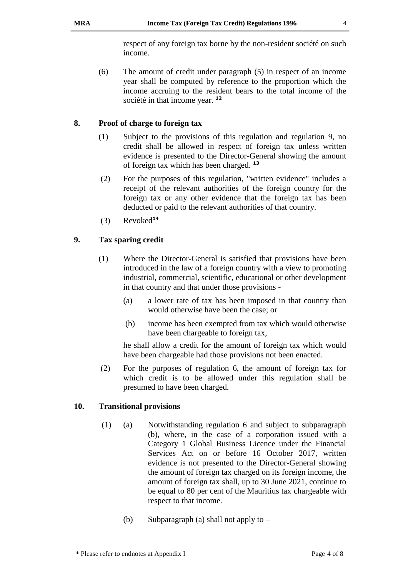respect of any foreign tax borne by the non-resident société on such income.

(6) The amount of credit under paragraph (5) in respect of an income year shall be computed by reference to the proportion which the income accruing to the resident bears to the total income of the société in that income year. **<sup>12</sup>**

## **8. Proof of charge to foreign tax**

- (1) Subject to the provisions of this regulation and regulation 9, no credit shall be allowed in respect of foreign tax unless written evidence is presented to the Director-General showing the amount of foreign tax which has been charged. **<sup>13</sup>**
- (2) For the purposes of this regulation, "written evidence" includes a receipt of the relevant authorities of the foreign country for the foreign tax or any other evidence that the foreign tax has been deducted or paid to the relevant authorities of that country.
- (3) Revoked**<sup>14</sup>**

## **9. Tax sparing credit**

- (1) Where the Director-General is satisfied that provisions have been introduced in the law of a foreign country with a view to promoting industrial, commercial, scientific, educational or other development in that country and that under those provisions -
	- (a) a lower rate of tax has been imposed in that country than would otherwise have been the case; or
	- (b) income has been exempted from tax which would otherwise have been chargeable to foreign tax,

he shall allow a credit for the amount of foreign tax which would have been chargeable had those provisions not been enacted.

(2) For the purposes of regulation 6, the amount of foreign tax for which credit is to be allowed under this regulation shall be presumed to have been charged.

## **10. Transitional provisions**

- (1) (a) Notwithstanding regulation 6 and subject to subparagraph (b), where, in the case of a corporation issued with a Category 1 Global Business Licence under the Financial Services Act on or before 16 October 2017, written evidence is not presented to the Director-General showing the amount of foreign tax charged on its foreign income, the amount of foreign tax shall, up to 30 June 2021, continue to be equal to 80 per cent of the Mauritius tax chargeable with respect to that income.
	- (b) Subparagraph (a) shall not apply to –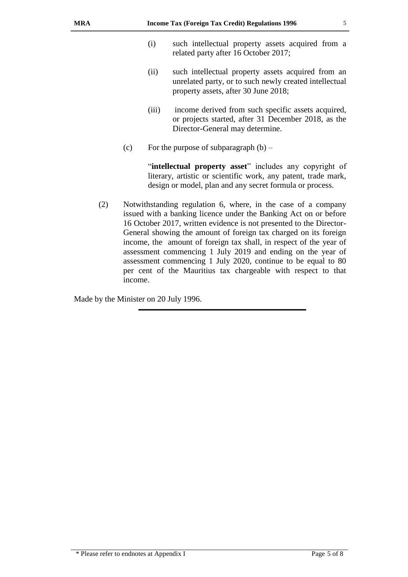- (ii) such intellectual property assets acquired from an unrelated party, or to such newly created intellectual property assets, after 30 June 2018;
- (iii) income derived from such specific assets acquired, or projects started, after 31 December 2018, as the Director-General may determine.
- (c) For the purpose of subparagraph  $(b)$  –

"**intellectual property asset**" includes any copyright of literary, artistic or scientific work, any patent, trade mark, design or model, plan and any secret formula or process.

(2) Notwithstanding regulation 6, where, in the case of a company issued with a banking licence under the Banking Act on or before 16 October 2017, written evidence is not presented to the Director-General showing the amount of foreign tax charged on its foreign income, the amount of foreign tax shall, in respect of the year of assessment commencing 1 July 2019 and ending on the year of assessment commencing 1 July 2020, continue to be equal to 80 per cent of the Mauritius tax chargeable with respect to that income.

Made by the Minister on 20 July 1996.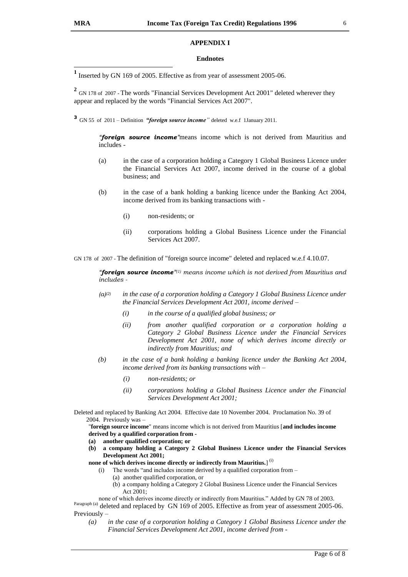#### **APPENDIX I**

#### **Endnotes**

**1** Inserted by GN 169 of 2005. Effective as from year of assessment 2005-06.

<sup>2</sup> GN 178 of 2007 - The words "Financial Services Development Act 2001" deleted wherever they appear and replaced by the words "Financial Services Act 2007".

**3** GN 55 of 2011 – Definition *"foreign source income*" deleted w.e.f 1January 2011.

*"foreign source income"*means income which is not derived from Mauritius and includes -

- (a) in the case of a corporation holding a Category 1 Global Business Licence under the Financial Services Act 2007, income derived in the course of a global business; and
- (b) in the case of a bank holding a banking licence under the Banking Act 2004, income derived from its banking transactions with -
	- (i) non-residents; or
	- (ii) corporations holding a Global Business Licence under the Financial Services Act 2007.

GN 178 of 2007 - The definition of "foreign source income" deleted and replaced w.e.f 4.10.07.

*"foreign source income" (1) means income which is not derived from Mauritius and includes -*

- *(a)(2) in the case of a corporation holding a Category 1 Global Business Licence under the Financial Services Development Act 2001, income derived –*
	- *(i) in the course of a qualified global business; or*
	- *(ii) from another qualified corporation or a corporation holding a Category 2 Global Business Licence under the Financial Services Development Act 2001, none of which derives income directly or indirectly from Mauritius; and*
- *(b) in the case of a bank holding a banking licence under the Banking Act 2004, income derived from its banking transactions with –*
	- *(i) non-residents; or*
	- *(ii) corporations holding a Global Business Licence under the Financial Services Development Act 2001;*
- Deleted and replaced by Banking Act 2004. Effective date 10 November 2004. Proclamation No. 39 of 2004. Previously was –

"**foreign source income**" means income which is not derived from Mauritius [**and includes income derived by a qualified corporation from -**

- **(a) another qualified corporation; or**
- **(b) a company holding a Category 2 Global Business Licence under the Financial Services Development Act 2001;**
- none of which derives income directly or indirectly from Mauritius.]<sup>(i)</sup>
	- (i) The words "and includes income derived by a qualified corporation from
		- (a) another qualified corporation, or
		- (b) a company holding a Category 2 Global Business Licence under the Financial Services Act 2001;

none of which derives income directly or indirectly from Mauritius." Added by GN 78 of 2003. Paragraph (a) deleted and replaced by GN 169 of 2005. Effective as from year of assessment 2005-06.

Previously –

*(a) in the case of a corporation holding a Category 1 Global Business Licence under the Financial Services Development Act 2001, income derived from -*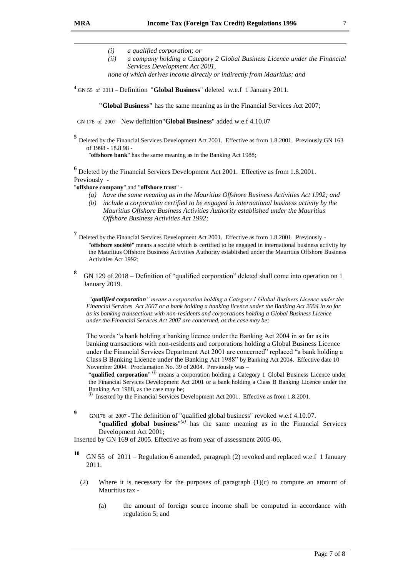-

- *(i) a qualified corporation; or*
- *(ii) a company holding a Category 2 Global Business Licence under the Financial Services Development Act 2001,*
- *none of which derives income directly or indirectly from Mauritius; and*
- **4** GN 55 of 2011 Definition "**Global Business**" deleted w.e.f 1 January 2011.

**"Global Business"** has the same meaning as in the Financial Services Act 2007;

GN 178 of 2007 – New definition"**Global Business**" added w.e.f 4.10.07

**5** Deleted by the Financial Services Development Act 2001. Effective as from 1.8.2001. Previously GN 163 of 1998 - 18.8.98 -

"**offshore bank**" has the same meaning as in the Banking Act 1988;

**6** Deleted by the Financial Services Development Act 2001. Effective as from 1.8.2001. Previously -

"**offshore company**" and "**offshore trust**" -

- *(a) have the same meaning as in the Mauritius Offshore Business Activities Act 1992; and*
- *(b) include a corporation certified to be engaged in international business activity by the Mauritius Offshore Business Activities Authority established under the Mauritius Offshore Business Activities Act 1992;*
- **7** Deleted by the Financial Services Development Act 2001. Effective as from 1.8.2001. Previously "**offshore société**" means a société which is certified to be engaged in international business activity by the Mauritius Offshore Business Activities Authority established under the Mauritius Offshore Business Activities Act 1992;
- **8** GN 129 of 2018 – Definition of "qualified corporation" deleted shall come into operation on 1 January 2019.

*"qualified corporation" means a corporation holding a Category 1 Global Business Licence under the Financial Services Act 2007 or a bank holding a banking licence under the Banking Act 2004 in so far as its banking transactions with non-residents and corporations holding a Global Business Licence under the Financial Services Act 2007 are concerned, as the case may be;*

The words "a bank holding a banking licence under the Banking Act 2004 in so far as its banking transactions with non-residents and corporations holding a Global Business Licence under the Financial Services Department Act 2001 are concerned" replaced "a bank holding a Class B Banking Licence under the Banking Act 1988" by Banking Act 2004. Effective date 10 November 2004. Proclamation No. 39 of 2004. Previously was –

"**qualified corporation**"<sup>(i)</sup> means a corporation holding a Category 1 Global Business Licence under the Financial Services Development Act 2001 or a bank holding a Class B Banking Licence under the Banking Act 1988, as the case may be; (i)

Inserted by the Financial Services Development Act 2001. Effective as from 1.8.2001.

- **9**
- GN178 of 2007 The definition of "qualified global business" revoked w.e.f 4.10.07. "**qualified global business**"<sup>(5)</sup> has the same meaning as in the Financial Services Development Act 2001;

Inserted by GN 169 of 2005. Effective as from year of assessment 2005-06.

- **<sup>10</sup>** GN 55 of 2011 Regulation 6 amended, paragraph (2) revoked and replaced w.e.f 1 January 2011.
	- (2) Where it is necessary for the purposes of paragraph (1)(c) to compute an amount of Mauritius tax -
		- (a) the amount of foreign source income shall be computed in accordance with regulation 5; and